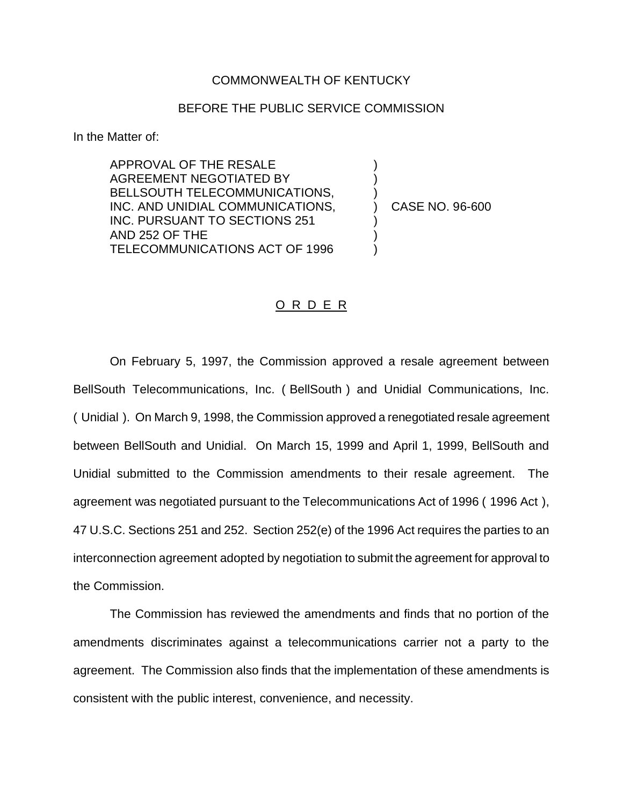## COMMONWEALTH OF KENTUCKY

## BEFORE THE PUBLIC SERVICE COMMISSION

In the Matter of:

APPROVAL OF THE RESALE AGREEMENT NEGOTIATED BY BELLSOUTH TELECOMMUNICATIONS, INC. AND UNIDIAL COMMUNICATIONS, INC. PURSUANT TO SECTIONS 251 AND 252 OF THE TELECOMMUNICATIONS ACT OF 1996

) CASE NO. 96-600

) ) )

) ) )

## O R D E R

On February 5, 1997, the Commission approved a resale agreement between BellSouth Telecommunications, Inc. ( BellSouth ) and Unidial Communications, Inc. ( Unidial ). On March 9, 1998, the Commission approved a renegotiated resale agreement between BellSouth and Unidial. On March 15, 1999 and April 1, 1999, BellSouth and Unidial submitted to the Commission amendments to their resale agreement. The agreement was negotiated pursuant to the Telecommunications Act of 1996 ( 1996 Act ), 47 U.S.C. Sections 251 and 252. Section 252(e) of the 1996 Act requires the parties to an interconnection agreement adopted by negotiation to submit the agreement for approval to the Commission.

The Commission has reviewed the amendments and finds that no portion of the amendments discriminates against a telecommunications carrier not a party to the agreement. The Commission also finds that the implementation of these amendments is consistent with the public interest, convenience, and necessity.